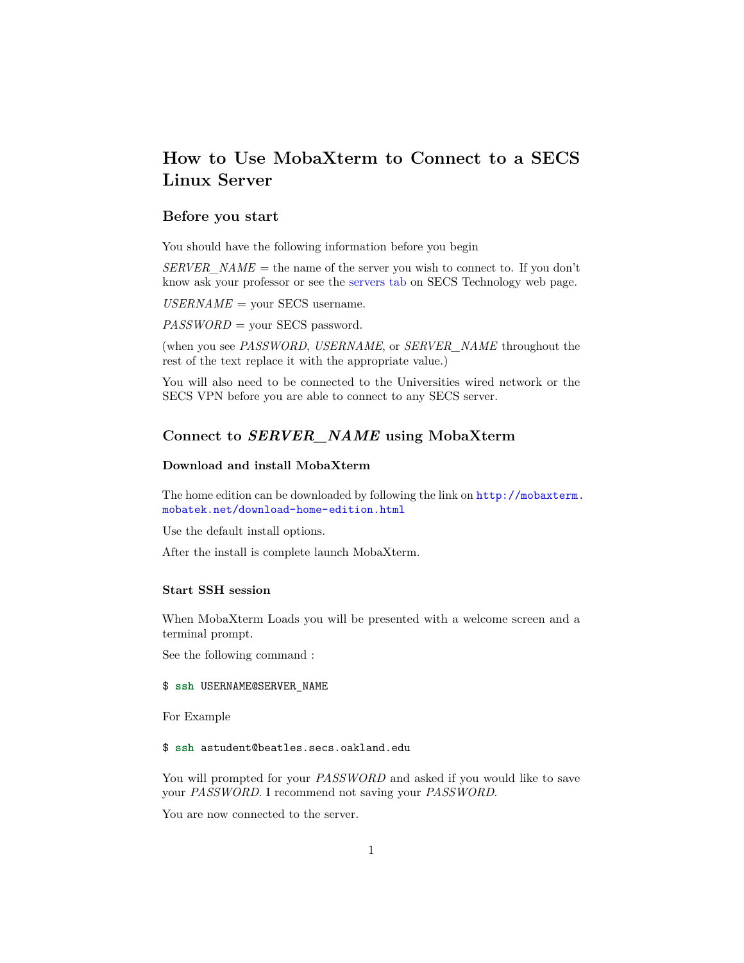# **How to Use MobaXterm to Connect to a SECS Linux Server**

#### **Before you start**

You should have the following information before you begin

 $SERVER\_NAME$  = the name of the server you wish to connect to. If you don't know ask your professor or see the [servers tab](https://www.oakland.edu/Default.aspx?id=28955\&sid=527\&CWFriendlyUrl=true\&tab=29567) on SECS Technology web page.

 $USERNAME =$  your SECS username.

*PASSWORD* = your SECS password.

(when you see *PASSWORD*, *USERNAME*, or *SERVER\_NAME* throughout the rest of the text replace it with the appropriate value.)

You will also need to be connected to the Universities wired network or the SECS VPN before you are able to connect to any SECS server.

## **Connect to** *SERVER\_NAME* **using MobaXterm**

#### **Download and install MobaXterm**

The home edition can be downloaded by following the link on [http://mobaxterm.](http://mobaxterm.mobatek.net/download-home-edition.html) [mobatek.net/download-home-edition.html](http://mobaxterm.mobatek.net/download-home-edition.html)

Use the default install options.

After the install is complete launch MobaXterm.

### **Start SSH session**

When MobaXterm Loads you will be presented with a welcome screen and a terminal prompt.

See the following command :

#### \$ ssh USERNAME@SERVER\_NAME

For Example

#### \$ ssh astudent@beatles.secs.oakland.edu

You will prompted for your *PASSWORD* and asked if you would like to save your *PASSWORD*. I recommend not saving your *PASSWORD*.

You are now connected to the server.